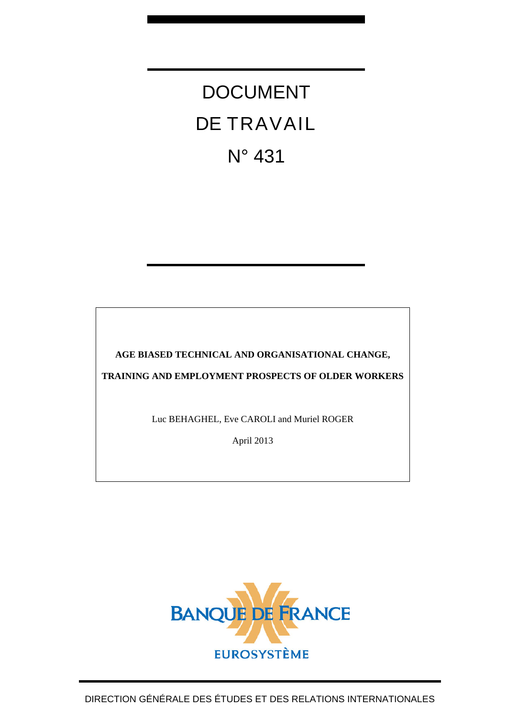# DOCUMENT DE TRAVAIL N° 431

**AGE BIASED TECHNICAL AND ORGANISATIONAL CHANGE,** 

**TRAINING AND EMPLOYMENT PROSPECTS OF OLDER WORKERS** 

Luc BEHAGHEL, Eve CAROLI and Muriel ROGER

April 2013

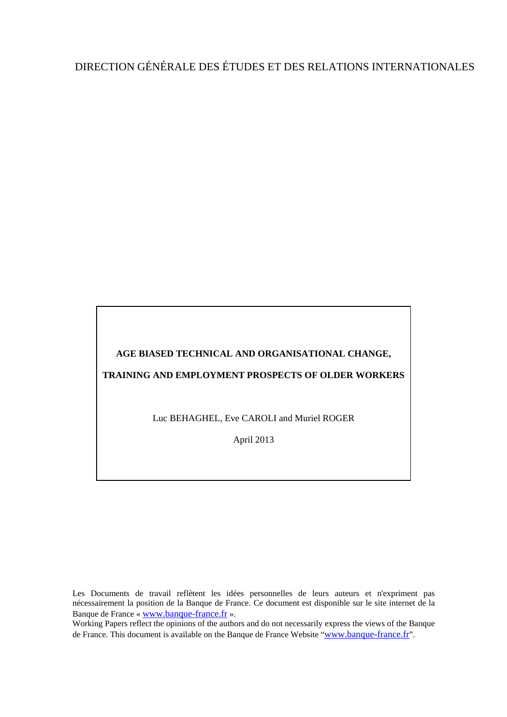# DIRECTION GÉNÉRALE DES ÉTUDES ET DES RELATIONS INTERNATIONALES

## **AGE BIASED TECHNICAL AND ORGANISATIONAL CHANGE,**

### **TRAINING AND EMPLOYMENT PROSPECTS OF OLDER WORKERS**

Luc BEHAGHEL, Eve CAROLI and Muriel ROGER

April 2013

Les Documents de travail reflètent les idées personnelles de leurs auteurs et n'expriment pas nécessairement la position de la Banque de France. Ce document est disponible sur le site internet de la Banque de France « [www.banque-france.fr](http://www.banque-france.fr/) ».

Working Papers reflect the opinions of the authors and do not necessarily express the views of the Banque de France. This document is available on the Banque de France Website "[www.banque-france.fr](http://www.banque-france.fr/)".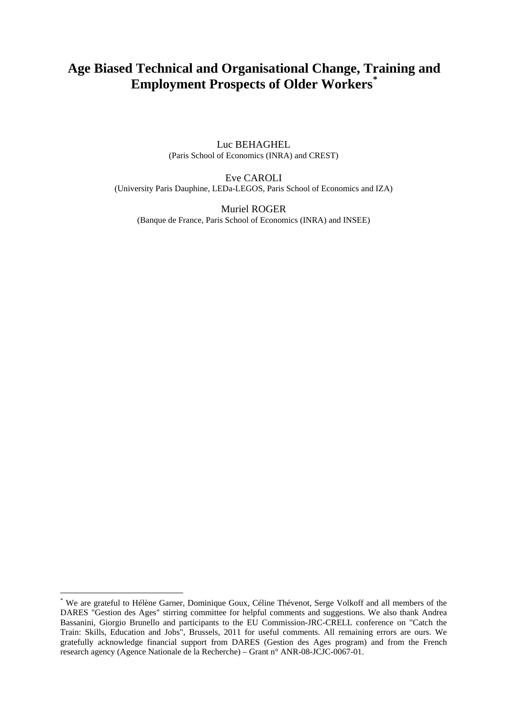## **Age Biased Technical and Organisational Change, T[ra](#page-2-0)ining and Employment Prospects of Older Workers[\\*](#page-2-0)**

Luc BEHAGHEL (Paris School of Economics (INRA) and CREST)

Eve CAROLI (University Paris Dauphine, LEDa-LEGOS, Paris School of Economics and IZA)

Muriel ROGER (Banque de France, Paris School of Economics (INRA) and INSEE)

1

<span id="page-2-0"></span><sup>\*</sup> We are grateful to Hélène Garner, Dominique Goux, Céline Thévenot, Serge Volkoff and all members of the DARES "Gestion des Ages" stirring committee for helpful comments and suggestions. We also thank Andrea Bassanini, Giorgio Brunello and participants to the EU Commission-JRC-CRELL conference on "Catch the Train: Skills, Education and Jobs", Brussels, 2011 for useful comments. All remaining errors are ours. We gratefully acknowledge financial support from DARES (Gestion des Ages program) and from the French research agency (Agence Nationale de la Recherche) – Grant n° ANR-08-JCJC-0067-01.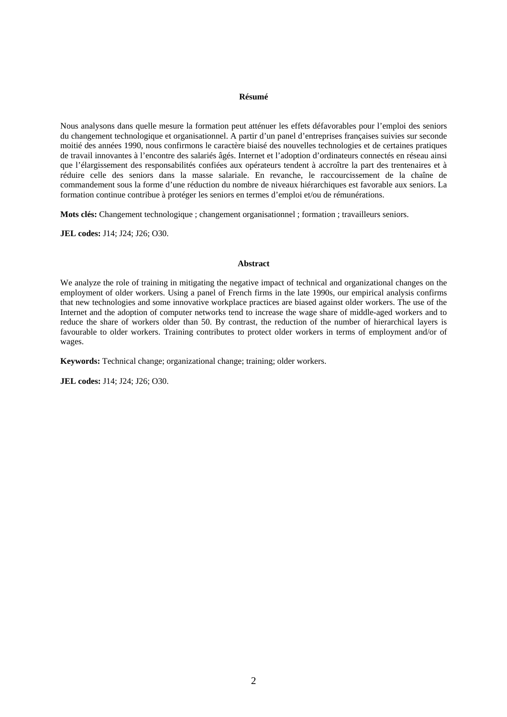#### **Résumé**

Nous analysons dans quelle mesure la formation peut atténuer les effets défavorables pour l'emploi des seniors du changement technologique et organisationnel. A partir d'un panel d'entreprises françaises suivies sur seconde moitié des années 1990, nous confirmons le caractère biaisé des nouvelles technologies et de certaines pratiques de travail innovantes à l'encontre des salariés âgés. Internet et l'adoption d'ordinateurs connectés en réseau ainsi que l'élargissement des responsabilités confiées aux opérateurs tendent à accroître la part des trentenaires et à réduire celle des seniors dans la masse salariale. En revanche, le raccourcissement de la chaîne de commandement sous la forme d'une réduction du nombre de niveaux hiérarchiques est favorable aux seniors. La formation continue contribue à protéger les seniors en termes d'emploi et/ou de rémunérations.

**Mots clés:** Changement technologique ; changement organisationnel ; formation ; travailleurs seniors.

**JEL codes:** J14; J24; J26; O30.

#### **Abstract**

We analyze the role of training in mitigating the negative impact of technical and organizational changes on the employment of older workers. Using a panel of French firms in the late 1990s, our empirical analysis confirms that new technologies and some innovative workplace practices are biased against older workers. The use of the Internet and the adoption of computer networks tend to increase the wage share of middle-aged workers and to reduce the share of workers older than 50. By contrast, the reduction of the number of hierarchical layers is favourable to older workers. Training contributes to protect older workers in terms of employment and/or of wages.

**Keywords:** Technical change; organizational change; training; older workers.

**JEL codes:** J14; J24; J26; O30.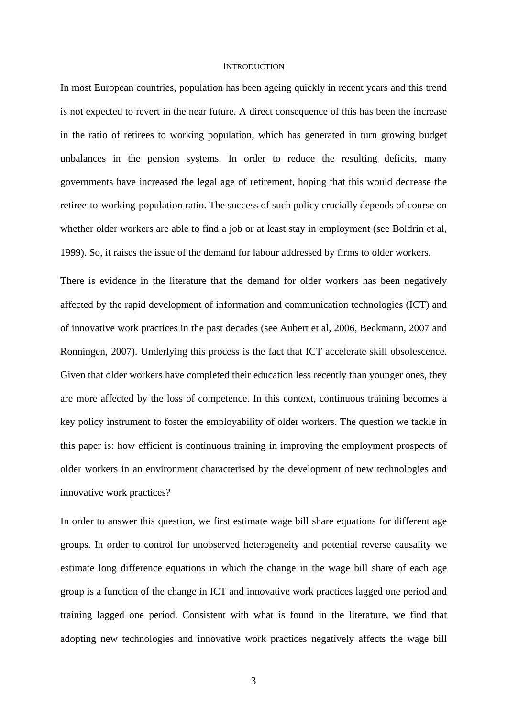#### **INTRODUCTION**

In most European countries, population has been ageing quickly in recent years and this trend is not expected to revert in the near future. A direct consequence of this has been the increase in the ratio of retirees to working population, which has generated in turn growing budget unbalances in the pension systems. In order to reduce the resulting deficits, many governments have increased the legal age of retirement, hoping that this would decrease the retiree-to-working-population ratio. The success of such policy crucially depends of course on whether older workers are able to find a job or at least stay in employment (see Boldrin et al, 1999). So, it raises the issue of the demand for labour addressed by firms to older workers.

There is evidence in the literature that the demand for older workers has been negatively affected by the rapid development of information and communication technologies (ICT) and of innovative work practices in the past decades (see Aubert et al, 2006, Beckmann, 2007 and Ronningen, 2007). Underlying this process is the fact that ICT accelerate skill obsolescence. Given that older workers have completed their education less recently than younger ones, they are more affected by the loss of competence. In this context, continuous training becomes a key policy instrument to foster the employability of older workers. The question we tackle in this paper is: how efficient is continuous training in improving the employment prospects of older workers in an environment characterised by the development of new technologies and innovative work practices?

In order to answer this question, we first estimate wage bill share equations for different age groups. In order to control for unobserved heterogeneity and potential reverse causality we estimate long difference equations in which the change in the wage bill share of each age group is a function of the change in ICT and innovative work practices lagged one period and training lagged one period. Consistent with what is found in the literature, we find that adopting new technologies and innovative work practices negatively affects the wage bill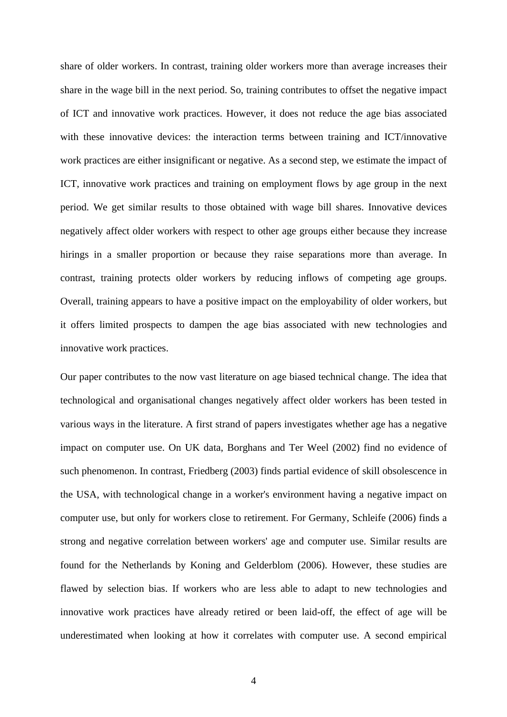share of older workers. In contrast, training older workers more than average increases their share in the wage bill in the next period. So, training contributes to offset the negative impact of ICT and innovative work practices. However, it does not reduce the age bias associated with these innovative devices: the interaction terms between training and ICT/innovative work practices are either insignificant or negative. As a second step, we estimate the impact of ICT, innovative work practices and training on employment flows by age group in the next period. We get similar results to those obtained with wage bill shares. Innovative devices negatively affect older workers with respect to other age groups either because they increase hirings in a smaller proportion or because they raise separations more than average. In contrast, training protects older workers by reducing inflows of competing age groups. Overall, training appears to have a positive impact on the employability of older workers, but it offers limited prospects to dampen the age bias associated with new technologies and innovative work practices.

Our paper contributes to the now vast literature on age biased technical change. The idea that technological and organisational changes negatively affect older workers has been tested in various ways in the literature. A first strand of papers investigates whether age has a negative impact on computer use. On UK data, Borghans and Ter Weel (2002) find no evidence of such phenomenon. In contrast, Friedberg (2003) finds partial evidence of skill obsolescence in the USA, with technological change in a worker's environment having a negative impact on computer use, but only for workers close to retirement. For Germany, Schleife (2006) finds a strong and negative correlation between workers' age and computer use. Similar results are found for the Netherlands by Koning and Gelderblom (2006). However, these studies are flawed by selection bias. If workers who are less able to adapt to new technologies and innovative work practices have already retired or been laid-off, the effect of age will be underestimated when looking at how it correlates with computer use. A second empirical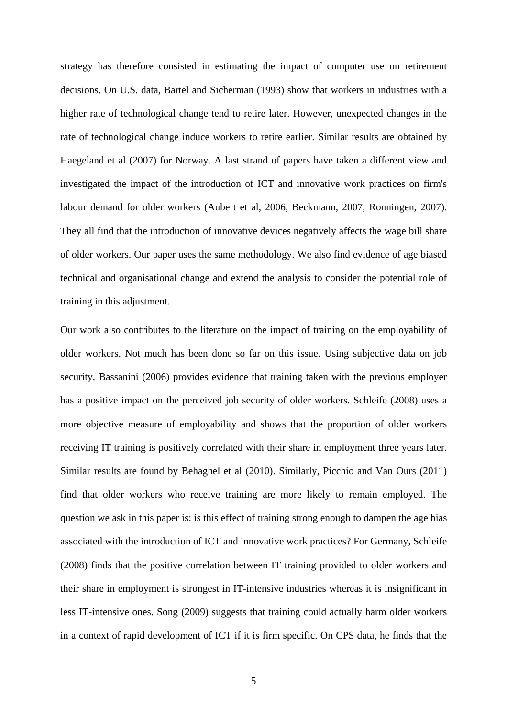strategy has therefore consisted in estimating the impact of computer use on retirement decisions. On U.S. data, Bartel and Sicherman (1993) show that workers in industries with a higher rate of technological change tend to retire later. However, unexpected changes in the rate of technological change induce workers to retire earlier. Similar results are obtained by Haegeland et al (2007) for Norway. A last strand of papers have taken a different view and investigated the impact of the introduction of ICT and innovative work practices on firm's labour demand for older workers (Aubert et al, 2006, Beckmann, 2007, Ronningen, 2007). They all find that the introduction of innovative devices negatively affects the wage bill share of older workers. Our paper uses the same methodology. We also find evidence of age biased technical and organisational change and extend the analysis to consider the potential role of training in this adjustment.

Our work also contributes to the literature on the impact of training on the employability of older workers. Not much has been done so far on this issue. Using subjective data on job security, Bassanini (2006) provides evidence that training taken with the previous employer has a positive impact on the perceived job security of older workers. Schleife (2008) uses a more objective measure of employability and shows that the proportion of older workers receiving IT training is positively correlated with their share in employment three years later. Similar results are found by Behaghel et al (2010). Similarly, Picchio and Van Ours (2011) find that older workers who receive training are more likely to remain employed. The question we ask in this paper is: is this effect of training strong enough to dampen the age bias associated with the introduction of ICT and innovative work practices? For Germany, Schleife (2008) finds that the positive correlation between IT training provided to older workers and their share in employment is strongest in IT-intensive industries whereas it is insignificant in less IT-intensive ones. Song (2009) suggests that training could actually harm older workers in a context of rapid development of ICT if it is firm specific. On CPS data, he finds that the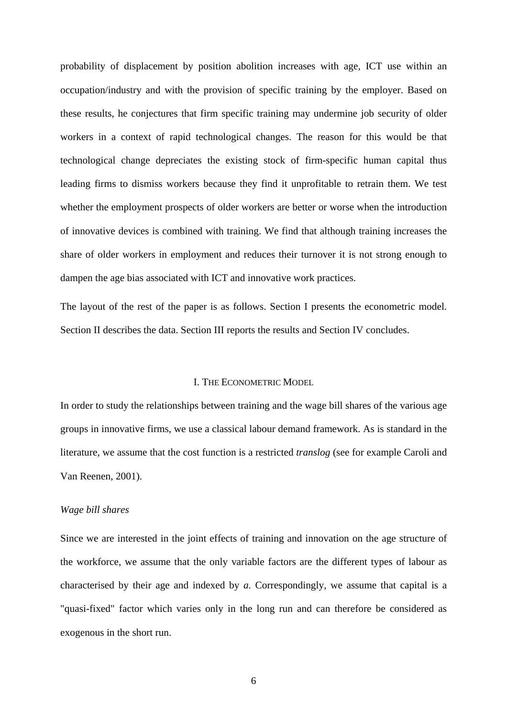probability of displacement by position abolition increases with age, ICT use within an occupation/industry and with the provision of specific training by the employer. Based on these results, he conjectures that firm specific training may undermine job security of older workers in a context of rapid technological changes. The reason for this would be that technological change depreciates the existing stock of firm-specific human capital thus leading firms to dismiss workers because they find it unprofitable to retrain them. We test whether the employment prospects of older workers are better or worse when the introduction of innovative devices is combined with training. We find that although training increases the share of older workers in employment and reduces their turnover it is not strong enough to dampen the age bias associated with ICT and innovative work practices.

The layout of the rest of the paper is as follows. Section I presents the econometric model. Section II describes the data. Section III reports the results and Section IV concludes.

#### I. THE ECONOMETRIC MODEL

In order to study the relationships between training and the wage bill shares of the various age groups in innovative firms, we use a classical labour demand framework. As is standard in the literature, we assume that the cost function is a restricted *translog* (see for example Caroli and Van Reenen, 2001).

#### *Wage bill shares*

Since we are interested in the joint effects of training and innovation on the age structure of the workforce, we assume that the only variable factors are the different types of labour as characterised by their age and indexed by *a*. Correspondingly, we assume that capital is a "quasi-fixed" factor which varies only in the long run and can therefore be considered as exogenous in the short run.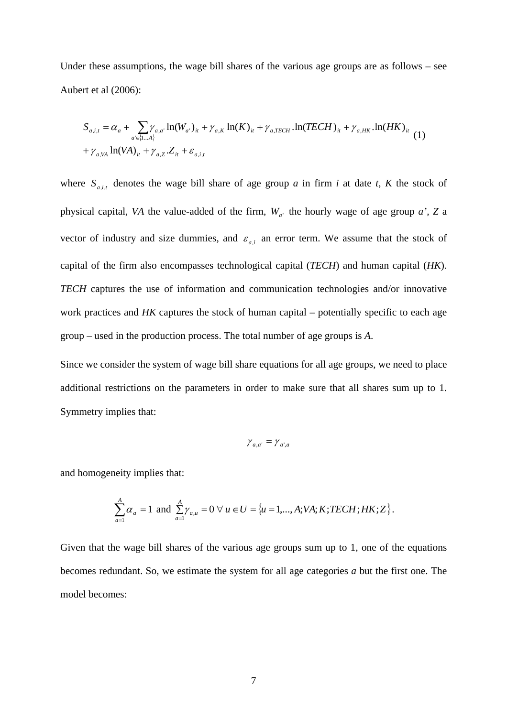Under these assumptions, the wage bill shares of the various age groups are as follows – see Aubert et al (2006):

$$
S_{a,i,t} = \alpha_a + \sum_{a' \in \{1...A\}} \gamma_{a,a'} \ln(W_{a'})_{it} + \gamma_{a,K} \ln(K)_{it} + \gamma_{a,TECH} \cdot \ln(TECH)_{it} + \gamma_{a,HK} \cdot \ln(HK)_{it}
$$
  
+  $\gamma_{a,VA} \ln(VA)_{it} + \gamma_{a,Z} Z_{it} + \varepsilon_{a,i,t}$  (1)

where  $S_{a,i,t}$  denotes the wage bill share of age group *a* in firm *i* at date *t*, *K* the stock of physical capital, *VA* the value-added of the firm,  $W_{a}$  the hourly wage of age group *a'*, *Z* a vector of industry and size dummies, and  $\varepsilon_{a,i}$  an error term. We assume that the stock of capital of the firm also encompasses technological capital (*TECH*) and human capital (*HK*). *TECH* captures the use of information and communication technologies and/or innovative work practices and *HK* captures the stock of human capital – potentially specific to each age group – used in the production process. The total number of age groups is *A*.

Since we consider the system of wage bill share equations for all age groups, we need to place additional restrictions on the parameters in order to make sure that all shares sum up to 1. Symmetry implies that:

$$
\gamma_{a,a'} = \gamma_{a',a}
$$

and homogeneity implies that:

$$
\sum_{a=1}^{A} \alpha_a = 1 \text{ and } \sum_{a=1}^{A} \gamma_{a,u} = 0 \ \forall \ u \in U = \{u = 1,..., A; VA; K; TECH; HK; Z\}.
$$

Given that the wage bill shares of the various age groups sum up to 1, one of the equations becomes redundant. So, we estimate the system for all age categories *a* but the first one. The model becomes: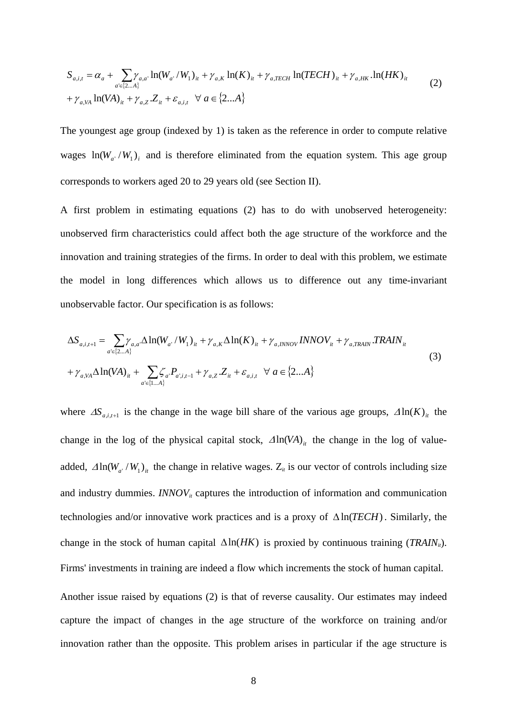$$
S_{a,i,t} = \alpha_a + \sum_{a' \in \{2...A\}} \gamma_{a,a'} \ln(W_{a'} / W_1)_{it} + \gamma_{a,K} \ln(K)_{it} + \gamma_{a,TECH} \ln(TECH)_{it} + \gamma_{a,HK} \ln(HK)_{it}
$$
  
+  $\gamma_{a,VA} \ln(VA)_{it} + \gamma_{a,Z} Z_{it} + \varepsilon_{a,i,t} \quad \forall \ a \in \{2...A\}$  (2)

The youngest age group (indexed by 1) is taken as the reference in order to compute relative wages  $ln(W_a / W_1)_i$  and is therefore eliminated from the equation system. This age group corresponds to workers aged 20 to 29 years old (see Section II).

A first problem in estimating equations (2) has to do with unobserved heterogeneity: unobserved firm characteristics could affect both the age structure of the workforce and the innovation and training strategies of the firms. In order to deal with this problem, we estimate the model in long differences which allows us to difference out any time-invariant unobservable factor. Our specification is as follows:

$$
\Delta S_{a,i,t+1} = \sum_{a' \in \{2...A\}} \gamma_{a,a'} \Delta \ln(W_{a'} / W_1)_{it} + \gamma_{a,K} \Delta \ln(K)_{it} + \gamma_{a,INNOV} INNOV_{it} + \gamma_{a,TRAIN} \cdot TRAIN_{it}
$$
  
+  $\gamma_{a,VA} \Delta \ln(VA)_{it} + \sum_{a' \in \{1...A\}} \zeta_{a'} P_{a';i,t-1} + \gamma_{a,Z} \cdot Z_{it} + \varepsilon_{a,i,t} \quad \forall \ a \in \{2...A\}$  (3)

where  $\Delta S_{a,i,t+1}$  is the change in the wage bill share of the various age groups,  $\Delta \ln(K)_{it}$  the change in the log of the physical capital stock,  $\Delta \ln(VA)$ <sub>*i*t</sub> the change in the log of valueadded,  $\Delta \ln(W_{a'} / W_1)_{it}$  the change in relative wages.  $Z_{it}$  is our vector of controls including size and industry dummies.  $INNOV<sub>it</sub>$  captures the introduction of information and communication technologies and/or innovative work practices and is a proxy of  $\Delta \ln(TECH)$ . Similarly, the change in the stock of human capital  $\Delta \ln(HK)$  is proxied by continuous training (*TRAIN<sub>ii</sub>*). Firms' investments in training are indeed a flow which increments the stock of human capital.

Another issue raised by equations (2) is that of reverse causality. Our estimates may indeed capture the impact of changes in the age structure of the workforce on training and/or innovation rather than the opposite. This problem arises in particular if the age structure is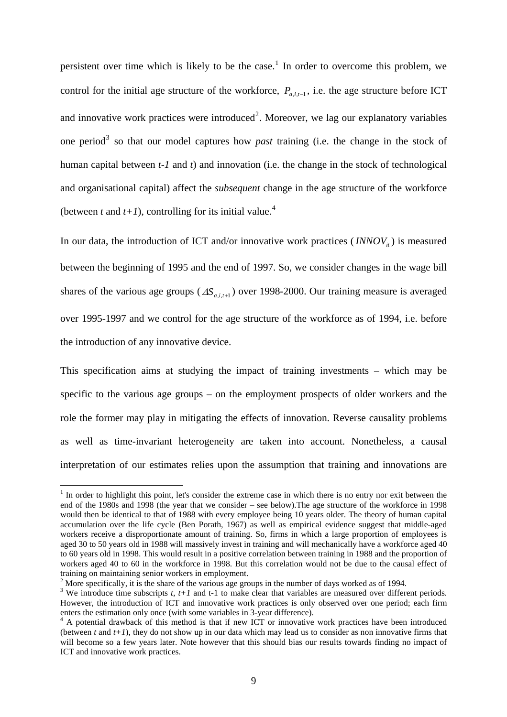persistent over time which is likely to be the case.<sup>[1](#page-10-0)</sup> In order to overcome this problem, we control for the initial age structure of the workforce,  $P_{a,i,t-1}$ , i.e. the age structure before ICT and innovative work practices were introduced<sup>[2](#page-10-1)</sup>. Moreover, we lag our explanatory variables one period<sup>[3](#page-10-2)</sup> so that our model captures how *past* training (i.e. the change in the stock of human capital between *t-1* and *t*) and innovation (i.e. the change in the stock of technological and organisational capital) affect the *subsequent* change in the age structure of the workforce (between *t* and  $t+1$ ), controlling for its initial value.<sup>[4](#page-10-3)</sup>

In our data, the introduction of ICT and/or innovative work practices  $\left( \frac{INNOV_i}{\pi} \right)$  is measured between the beginning of 1995 and the end of 1997. So, we consider changes in the wage bill shares of the various age groups  $(\Delta S_{a,i,t+1})$  over 1998-2000. Our training measure is averaged over 1995-1997 and we control for the age structure of the workforce as of 1994, i.e. before the introduction of any innovative device.

This specification aims at studying the impact of training investments – which may be specific to the various age groups – on the employment prospects of older workers and the role the former may play in mitigating the effects of innovation. Reverse causality problems as well as time-invariant heterogeneity are taken into account. Nonetheless, a causal interpretation of our estimates relies upon the assumption that training and innovations are

<u>.</u>

<span id="page-10-0"></span> $<sup>1</sup>$  In order to highlight this point, let's consider the extreme case in which there is no entry nor exit between the</sup> end of the 1980s and 1998 (the year that we consider – see below).The age structure of the workforce in 1998 would then be identical to that of 1988 with every employee being 10 years older. The theory of human capital accumulation over the life cycle (Ben Porath, 1967) as well as empirical evidence suggest that middle-aged workers receive a disproportionate amount of training. So, firms in which a large proportion of employees is aged 30 to 50 years old in 1988 will massively invest in training and will mechanically have a workforce aged 40 to 60 years old in 1998. This would result in a positive correlation between training in 1988 and the proportion of workers aged 40 to 60 in the workforce in 1998. But this correlation would not be due to the causal effect of training on maintaining senior workers in employment.

<sup>&</sup>lt;sup>2</sup> More specifically, it is the share of the various age groups in the number of days worked as of 1994.

<span id="page-10-2"></span><span id="page-10-1"></span><sup>&</sup>lt;sup>3</sup> We introduce time subscripts  $t$ ,  $t+1$  and  $t-1$  to make clear that variables are measured over different periods. However, the introduction of ICT and innovative work practices is only observed over one period; each firm enters the estimation only once (with some variables in 3-year difference). 4

<span id="page-10-3"></span> $4$  A potential drawback of this method is that if new ICT or innovative work practices have been introduced (between *t* and *t+1*), they do not show up in our data which may lead us to consider as non innovative firms that will become so a few years later. Note however that this should bias our results towards finding no impact of ICT and innovative work practices.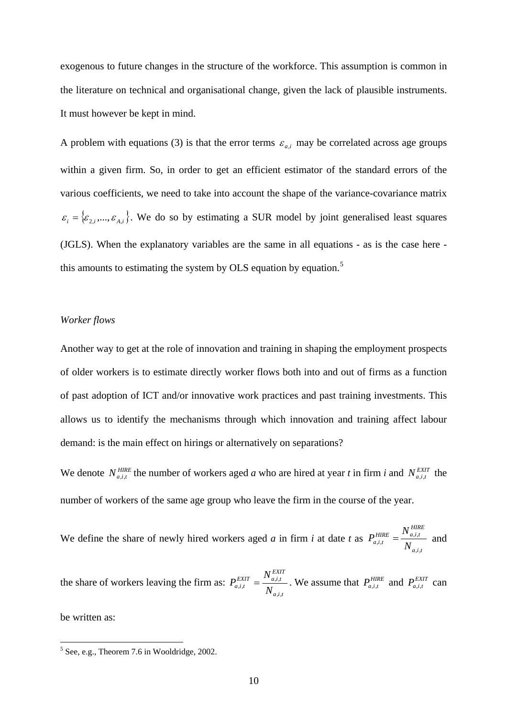exogenous to future changes in the structure of the workforce. This assumption is common in the literature on technical and organisational change, given the lack of plausible instruments. It must however be kept in mind.

A problem with equations (3) is that the error terms  $\varepsilon_{a,i}$  may be correlated across age groups within a given firm. So, in order to get an efficient estimator of the standard errors of the various coefficients, we need to take into account the shape of the variance-covariance matrix  $\varepsilon_i = {\varepsilon_{2,i}, ..., \varepsilon_{A,i}}$ . We do so by estimating a SUR model by joint generalised least squares (JGLS). When the explanatory variables are the same in all equations - as is the case here - this amounts to estimating the system by OLS equation by equation.<sup>[5](#page-11-0)</sup>

#### *Worker flows*

Another way to get at the role of innovation and training in shaping the employment prospects of older workers is to estimate directly worker flows both into and out of firms as a function of past adoption of ICT and/or innovative work practices and past training investments. This allows us to identify the mechanisms through which innovation and training affect labour demand: is the main effect on hirings or alternatively on separations?

We denote  $N_{a,i,t}^{HIRE}$  the number of workers aged *a* who are hired at year *t* in firm *i* and  $N_{a,i,t}^{EXT}$  the number of workers of the same age group who leave the firm in the course of the year.

We define the share of newly hired workers aged *a* in firm *i* at date *t* as  $a, i, t$ *HIRE*  $HIRE \perp$ <sup>*I*</sup>*a<sub>d</sub>,<i>t*</sup>*t*  $\int_{a,i,t}$  - N *N P* ,,  $HIRE = \frac{N_{a,i,t}}{N}$  and

the share of workers leaving the firm as:  $a,i,t$ *EXIT*  $EXIT \t{I''} a, i, t$  $\frac{a,i,t}{N}$  -  $\frac{1}{N}$ *N P* ,,  $\sum_{i,i}^{EXIT} = \frac{N_{a,i,t}}{N}$ . We assume that  $P_{a,i,t}^{HIRE}$  and  $P_{a,i,t}^{EXIT}$  can

be written as:

<span id="page-11-0"></span><sup>5&</sup>lt;br><sup>5</sup> See, e.g., Theorem 7.6 in Wooldridge, 2002.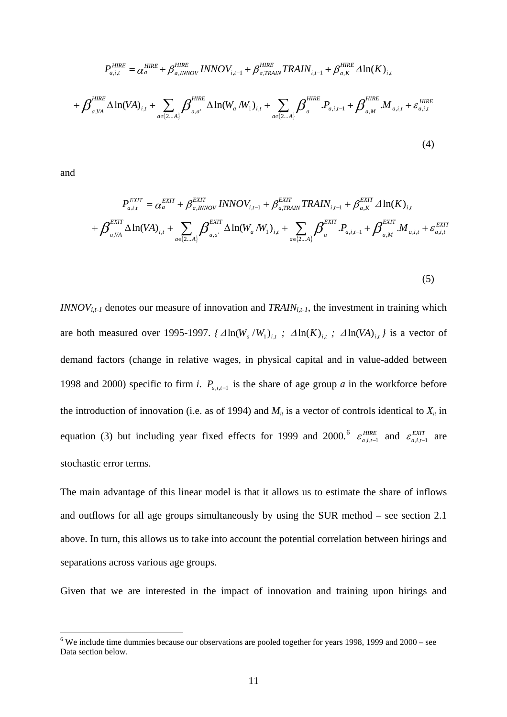$$
P_{a,i,t}^{HIRE} = \alpha_a^{HIRE} + \beta_{a,INNOV}^{HIRE} \, \text{INNOV}_{i,t-1} + \beta_{a,TRAIN}^{HIRE} \, \text{TRAIN}_{i,t-1} + \beta_{a,K}^{HIRE} \, \Delta \ln(K)_{i,t} + \beta_{a,N}^{HIRE} \, \Delta \ln(VA)_{i,t} + \sum_{a \in \{2...A\}} \beta_{a,a'}^{HIRE} \, \Delta \ln(W_a / W_1)_{i,t} + \sum_{a \in \{2...A\}} \beta_a^{HIRE} \, P_{a,i,t-1} + \beta_{a,M}^{HIRE} \, M_{a,i,t} + \varepsilon_{a,i,t}^{HIRE}
$$
\n
$$
(4)
$$

and

 $\overline{a}$ 

$$
P_{a,i,t}^{EXT} = \alpha_a^{EXT} + \beta_{a,INNOV}^{EXT} \text{INNOV}_{i,t-1} + \beta_{a,TRAIN}^{EXT} \text{TRAIN}_{i,t-1} + \beta_{a,K}^{EXT} \Delta \ln(K)_{i,t} + \beta_{a,VA}^{EXT} \Delta \ln(N_{A})_{i,t} + \sum_{a \in \{2...A\}} \beta_{a,a'}^{EXT} \Delta \ln(W_a/W_1)_{i,t} + \sum_{a \in \{2...A\}} \beta_a^{EXT} \cdot P_{a,i,t-1} + \beta_{a,M}^{EXT} \cdot M_{a,i,t} + \varepsilon_{a,i,t}^{EXT}
$$

(5)

*INNOV<sub>i,t-1</sub>* denotes our measure of innovation and *TRAIN<sub>i,t-1</sub>*, the investment in training which are both measured over 1995-1997.  $\{ \Delta \ln(W_a/W_1)_{i,t} ; \Delta \ln(K)_{i,t} ; \Delta \ln(VA)_{i,t} \}$  is a vector of demand factors (change in relative wages, in physical capital and in value-added between 1998 and 2000) specific to firm *i*.  $P_{a,i,t-1}$  is the share of age group *a* in the workforce before the introduction of innovation (i.e. as of 1994) and  $M_i$  is a vector of controls identical to  $X_i$  in equation (3) but including year fixed effects for 1999 and 2000.<sup>[6](#page-12-0)</sup>  $\varepsilon_{a,i,t-1}^{HIRE}$  and  $\varepsilon_{a,i,t-1}^{EXT}$  are stochastic error terms.

The main advantage of this linear model is that it allows us to estimate the share of inflows and outflows for all age groups simultaneously by using the SUR method – see section 2.1 above. In turn, this allows us to take into account the potential correlation between hirings and separations across various age groups.

Given that we are interested in the impact of innovation and training upon hirings and

<span id="page-12-0"></span> $6$  We include time dummies because our observations are pooled together for years 1998, 1999 and  $2000$  – see Data section below.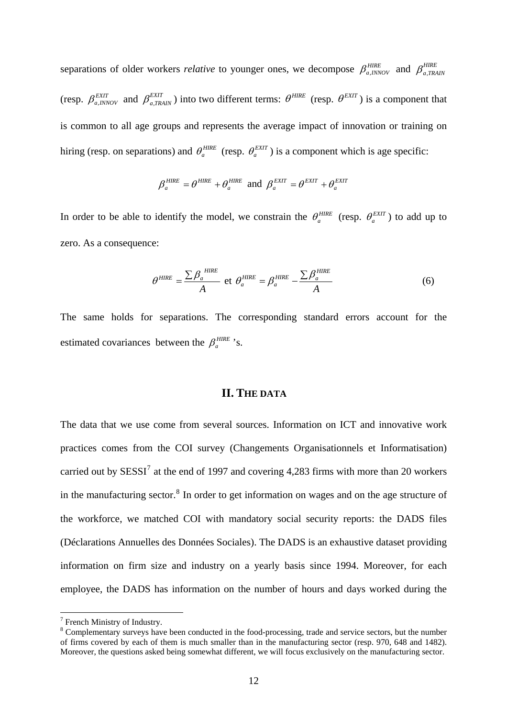separations of older workers *relative* to younger ones, we decompose  $\beta_{a,INNOV}^{HIRE}$  and  $\beta_{a,TRAIN}^{HIRE}$ (resp.  $\beta_{a,INNOV}^{EXT}$  and  $\beta_{a,TRAIN}^{EXT}$ ) into two different terms:  $\theta^{HIRE}$  (resp.  $\theta^{EXT}$ ) is a component that is common to all age groups and represents the average impact of innovation or training on hiring (resp. on separations) and  $\theta_a^{HIRE}$  (resp.  $\theta_a^{EXT}$ ) is a component which is age specific:  $\frac{EXIT}{a,TRAIN}$ ) into two different terms:  $\theta^{HIRE}$  (resp.  $\theta^{EXT}$ 

$$
\beta_a^{HIRE} = \theta^{HIRE} + \theta_a^{HIRE} \text{ and } \beta_a^{EXT} = \theta^{EXT} + \theta_a^{EXT}
$$

In order to be able to identify the model, we constrain the  $\theta_a^{HIRE}$  (resp.  $\theta_a^{EXT}$ ) to add up to zero. As a consequence:

$$
\theta^{HIRE} = \frac{\sum \beta_a^{HIRE}}{A} \text{ et } \theta_a^{HIRE} = \beta_a^{HIRE} - \frac{\sum \beta_a^{HIRE}}{A} \tag{6}
$$

The same holds for separations. The corresponding standard errors account for the estimated covariances between the  $\beta_a^{HIRE}$  's.

#### **II. THE DATA**

The data that we use come from several sources. Information on ICT and innovative work practices comes from the COI survey (Changements Organisationnels et Informatisation) carried out by  $SESSI^7$  $SESSI^7$  at the end of 1997 and covering 4,283 firms with more than 20 workers in the manufacturing sector. $8$  In order to get information on wages and on the age structure of the workforce, we matched COI with mandatory social security reports: the DADS files (Déclarations Annuelles des Données Sociales). The DADS is an exhaustive dataset providing information on firm size and industry on a yearly basis since 1994. Moreover, for each employee, the DADS has information on the number of hours and days worked during the

 $\overline{a}$ 

<span id="page-13-0"></span> $7$  French Ministry of Industry.

<span id="page-13-1"></span><sup>&</sup>lt;sup>8</sup> Complementary surveys have been conducted in the food-processing, trade and service sectors, but the number of firms covered by each of them is much smaller than in the manufacturing sector (resp. 970, 648 and 1482). Moreover, the questions asked being somewhat different, we will focus exclusively on the manufacturing sector.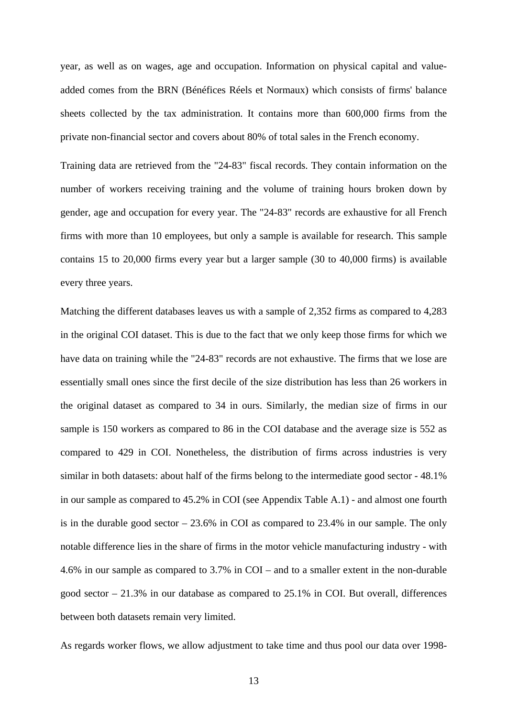year, as well as on wages, age and occupation. Information on physical capital and valueadded comes from the BRN (Bénéfices Réels et Normaux) which consists of firms' balance sheets collected by the tax administration. It contains more than 600,000 firms from the private non-financial sector and covers about 80% of total sales in the French economy.

Training data are retrieved from the "24-83" fiscal records. They contain information on the number of workers receiving training and the volume of training hours broken down by gender, age and occupation for every year. The "24-83" records are exhaustive for all French firms with more than 10 employees, but only a sample is available for research. This sample contains 15 to 20,000 firms every year but a larger sample (30 to 40,000 firms) is available every three years.

Matching the different databases leaves us with a sample of 2,352 firms as compared to 4,283 in the original COI dataset. This is due to the fact that we only keep those firms for which we have data on training while the "24-83" records are not exhaustive. The firms that we lose are essentially small ones since the first decile of the size distribution has less than 26 workers in the original dataset as compared to 34 in ours. Similarly, the median size of firms in our sample is 150 workers as compared to 86 in the COI database and the average size is 552 as compared to 429 in COI. Nonetheless, the distribution of firms across industries is very similar in both datasets: about half of the firms belong to the intermediate good sector - 48.1% in our sample as compared to 45.2% in COI (see Appendix Table A.1) - and almost one fourth is in the durable good sector – 23.6% in COI as compared to 23.4% in our sample. The only notable difference lies in the share of firms in the motor vehicle manufacturing industry - with 4.6% in our sample as compared to 3.7% in COI – and to a smaller extent in the non-durable good sector – 21.3% in our database as compared to 25.1% in COI. But overall, differences between both datasets remain very limited.

As regards worker flows, we allow adjustment to take time and thus pool our data over 1998-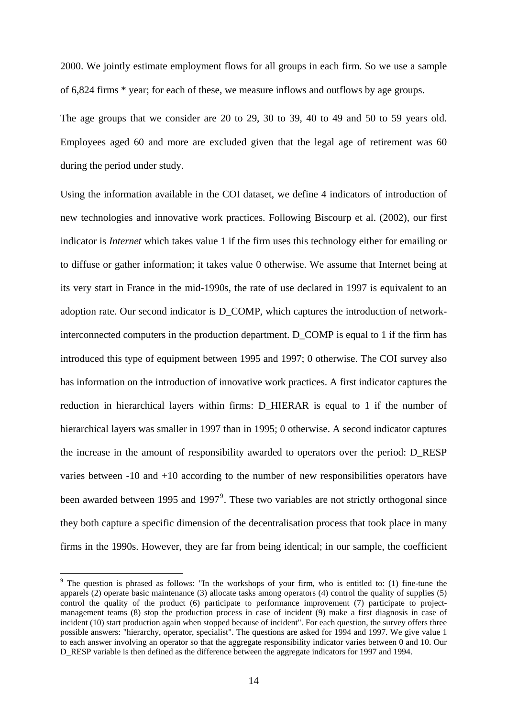2000. We jointly estimate employment flows for all groups in each firm. So we use a sample of 6,824 firms \* year; for each of these, we measure inflows and outflows by age groups.

The age groups that we consider are 20 to 29, 30 to 39, 40 to 49 and 50 to 59 years old. Employees aged 60 and more are excluded given that the legal age of retirement was 60 during the period under study.

Using the information available in the COI dataset, we define 4 indicators of introduction of new technologies and innovative work practices. Following Biscourp et al. (2002), our first indicator is *Internet* which takes value 1 if the firm uses this technology either for emailing or to diffuse or gather information; it takes value 0 otherwise. We assume that Internet being at its very start in France in the mid-1990s, the rate of use declared in 1997 is equivalent to an adoption rate. Our second indicator is D\_COMP, which captures the introduction of networkinterconnected computers in the production department. D\_COMP is equal to 1 if the firm has introduced this type of equipment between 1995 and 1997; 0 otherwise. The COI survey also has information on the introduction of innovative work practices. A first indicator captures the reduction in hierarchical layers within firms: D\_HIERAR is equal to 1 if the number of hierarchical layers was smaller in 1997 than in 1995; 0 otherwise. A second indicator captures the increase in the amount of responsibility awarded to operators over the period: D\_RESP varies between -10 and +10 according to the number of new responsibilities operators have been awarded between 1[9](#page-15-0)95 and 1997<sup>9</sup>. These two variables are not strictly orthogonal since they both capture a specific dimension of the decentralisation process that took place in many firms in the 1990s. However, they are far from being identical; in our sample, the coefficient

 $\overline{a}$ 

<span id="page-15-0"></span><sup>&</sup>lt;sup>9</sup> The question is phrased as follows: "In the workshops of your firm, who is entitled to: (1) fine-tune the apparels (2) operate basic maintenance (3) allocate tasks among operators (4) control the quality of supplies (5) control the quality of the product (6) participate to performance improvement (7) participate to projectmanagement teams (8) stop the production process in case of incident (9) make a first diagnosis in case of incident (10) start production again when stopped because of incident". For each question, the survey offers three possible answers: "hierarchy, operator, specialist". The questions are asked for 1994 and 1997. We give value 1 to each answer involving an operator so that the aggregate responsibility indicator varies between 0 and 10. Our D\_RESP variable is then defined as the difference between the aggregate indicators for 1997 and 1994.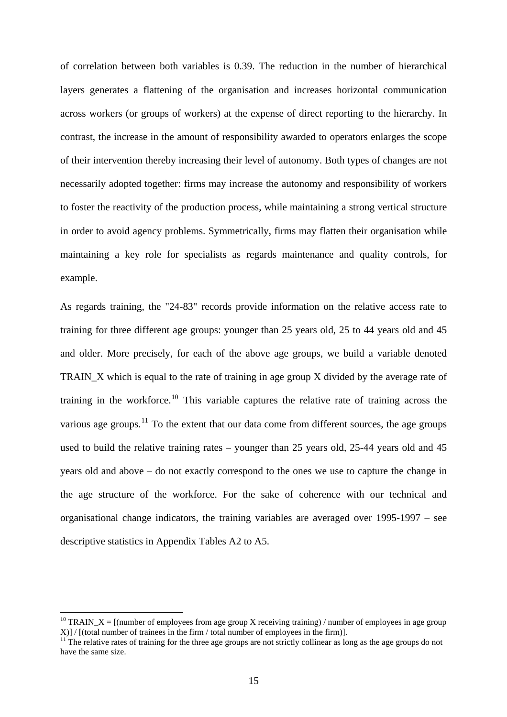of correlation between both variables is 0.39. The reduction in the number of hierarchical layers generates a flattening of the organisation and increases horizontal communication across workers (or groups of workers) at the expense of direct reporting to the hierarchy. In contrast, the increase in the amount of responsibility awarded to operators enlarges the scope of their intervention thereby increasing their level of autonomy. Both types of changes are not necessarily adopted together: firms may increase the autonomy and responsibility of workers to foster the reactivity of the production process, while maintaining a strong vertical structure in order to avoid agency problems. Symmetrically, firms may flatten their organisation while maintaining a key role for specialists as regards maintenance and quality controls, for example.

As regards training, the "24-83" records provide information on the relative access rate to training for three different age groups: younger than 25 years old, 25 to 44 years old and 45 and older. More precisely, for each of the above age groups, we build a variable denoted TRAIN\_X which is equal to the rate of training in age group X divided by the average rate of training in the workforce.[10](#page-16-0) This variable captures the relative rate of training across the various age groups.<sup>[11](#page-16-1)</sup> To the extent that our data come from different sources, the age groups used to build the relative training rates – younger than 25 years old, 25-44 years old and 45 years old and above – do not exactly correspond to the ones we use to capture the change in the age structure of the workforce. For the sake of coherence with our technical and organisational change indicators, the training variables are averaged over 1995-1997 – see descriptive statistics in Appendix Tables A2 to A5.

1

<span id="page-16-0"></span><sup>&</sup>lt;sup>10</sup> TRAIN\_X = [(number of employees from age group X receiving training) / number of employees in age group  $X$ ] / [(total number of trainees in the firm / total number of employees in the firm)].<br><sup>11</sup> The relative rates of training for the three age groups are not strictly collinear as long as the age groups do not

<span id="page-16-1"></span>have the same size.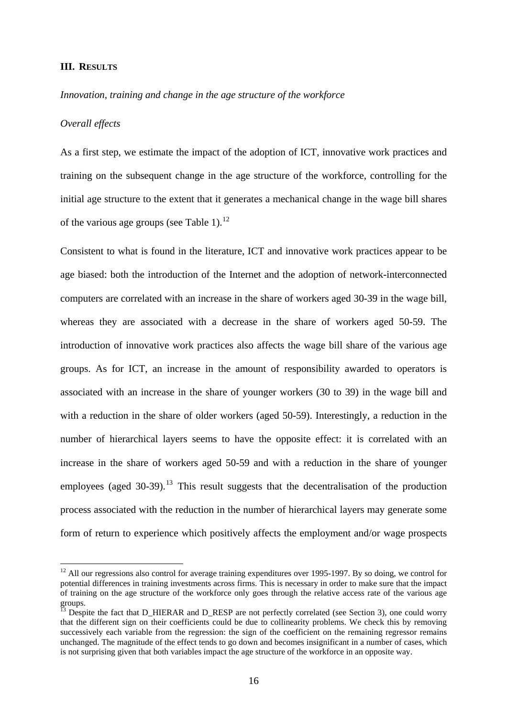#### **III. RESULTS**

#### *Innovation, training and change in the age structure of the workforce*

#### *Overall effects*

 $\overline{a}$ 

As a first step, we estimate the impact of the adoption of ICT, innovative work practices and training on the subsequent change in the age structure of the workforce, controlling for the initial age structure to the extent that it generates a mechanical change in the wage bill shares of the various age groups (see Table 1).<sup>[12](#page-17-0)</sup>

Consistent to what is found in the literature, ICT and innovative work practices appear to be age biased: both the introduction of the Internet and the adoption of network-interconnected computers are correlated with an increase in the share of workers aged 30-39 in the wage bill, whereas they are associated with a decrease in the share of workers aged 50-59. The introduction of innovative work practices also affects the wage bill share of the various age groups. As for ICT, an increase in the amount of responsibility awarded to operators is associated with an increase in the share of younger workers (30 to 39) in the wage bill and with a reduction in the share of older workers (aged 50-59). Interestingly, a reduction in the number of hierarchical layers seems to have the opposite effect: it is correlated with an increase in the share of workers aged 50-59 and with a reduction in the share of younger employees (aged  $30-39$ ).<sup>[13](#page-17-1)</sup> This result suggests that the decentralisation of the production process associated with the reduction in the number of hierarchical layers may generate some form of return to experience which positively affects the employment and/or wage prospects

<span id="page-17-0"></span> $12$  All our regressions also control for average training expenditures over 1995-1997. By so doing, we control for potential differences in training investments across firms. This is necessary in order to make sure that the impact of training on the age structure of the workforce only goes through the relative access rate of the various age  $\frac{1}{13}$  poups.

<span id="page-17-1"></span>Despite the fact that D\_HIERAR and D\_RESP are not perfectly correlated (see Section 3), one could worry that the different sign on their coefficients could be due to collinearity problems. We check this by removing successively each variable from the regression: the sign of the coefficient on the remaining regressor remains unchanged. The magnitude of the effect tends to go down and becomes insignificant in a number of cases, which is not surprising given that both variables impact the age structure of the workforce in an opposite way.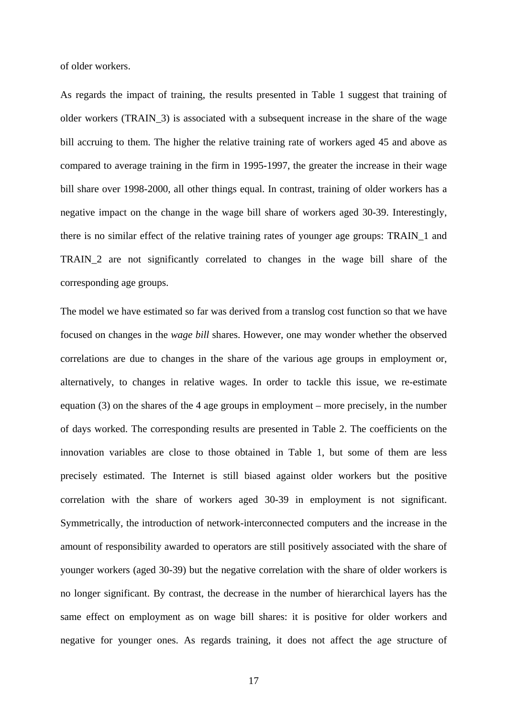of older workers.

As regards the impact of training, the results presented in Table 1 suggest that training of older workers (TRAIN\_3) is associated with a subsequent increase in the share of the wage bill accruing to them. The higher the relative training rate of workers aged 45 and above as compared to average training in the firm in 1995-1997, the greater the increase in their wage bill share over 1998-2000, all other things equal. In contrast, training of older workers has a negative impact on the change in the wage bill share of workers aged 30-39. Interestingly, there is no similar effect of the relative training rates of younger age groups: TRAIN\_1 and TRAIN\_2 are not significantly correlated to changes in the wage bill share of the corresponding age groups.

The model we have estimated so far was derived from a translog cost function so that we have focused on changes in the *wage bill* shares. However, one may wonder whether the observed correlations are due to changes in the share of the various age groups in employment or, alternatively, to changes in relative wages. In order to tackle this issue, we re-estimate equation (3) on the shares of the 4 age groups in employment – more precisely, in the number of days worked. The corresponding results are presented in Table 2. The coefficients on the innovation variables are close to those obtained in Table 1, but some of them are less precisely estimated. The Internet is still biased against older workers but the positive correlation with the share of workers aged 30-39 in employment is not significant. Symmetrically, the introduction of network-interconnected computers and the increase in the amount of responsibility awarded to operators are still positively associated with the share of younger workers (aged 30-39) but the negative correlation with the share of older workers is no longer significant. By contrast, the decrease in the number of hierarchical layers has the same effect on employment as on wage bill shares: it is positive for older workers and negative for younger ones. As regards training, it does not affect the age structure of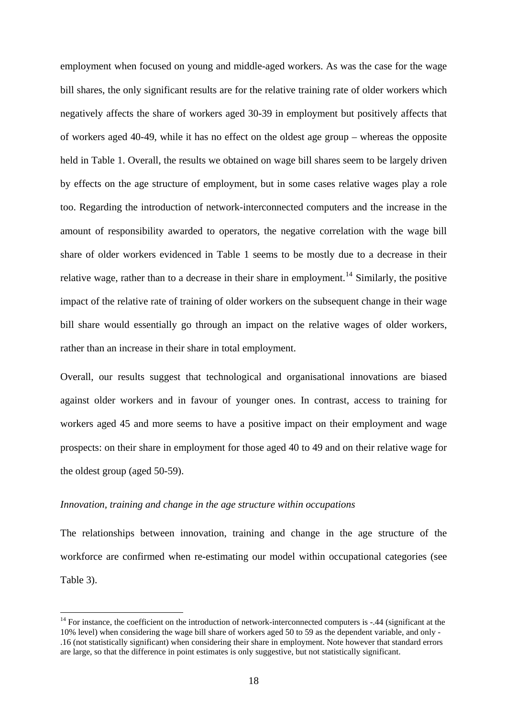employment when focused on young and middle-aged workers. As was the case for the wage bill shares, the only significant results are for the relative training rate of older workers which negatively affects the share of workers aged 30-39 in employment but positively affects that of workers aged 40-49, while it has no effect on the oldest age group – whereas the opposite held in Table 1. Overall, the results we obtained on wage bill shares seem to be largely driven by effects on the age structure of employment, but in some cases relative wages play a role too. Regarding the introduction of network-interconnected computers and the increase in the amount of responsibility awarded to operators, the negative correlation with the wage bill share of older workers evidenced in Table 1 seems to be mostly due to a decrease in their relative wage, rather than to a decrease in their share in employment.<sup>[14](#page-19-0)</sup> Similarly, the positive impact of the relative rate of training of older workers on the subsequent change in their wage bill share would essentially go through an impact on the relative wages of older workers, rather than an increase in their share in total employment.

Overall, our results suggest that technological and organisational innovations are biased against older workers and in favour of younger ones. In contrast, access to training for workers aged 45 and more seems to have a positive impact on their employment and wage prospects: on their share in employment for those aged 40 to 49 and on their relative wage for the oldest group (aged 50-59).

#### *Innovation, training and change in the age structure within occupations*

 $\overline{a}$ 

The relationships between innovation, training and change in the age structure of the workforce are confirmed when re-estimating our model within occupational categories (see Table 3).

<span id="page-19-0"></span><sup>&</sup>lt;sup>14</sup> For instance, the coefficient on the introduction of network-interconnected computers is -.44 (significant at the 10% level) when considering the wage bill share of workers aged 50 to 59 as the dependent variable, and only - .16 (not statistically significant) when considering their share in employment. Note however that standard errors are large, so that the difference in point estimates is only suggestive, but not statistically significant.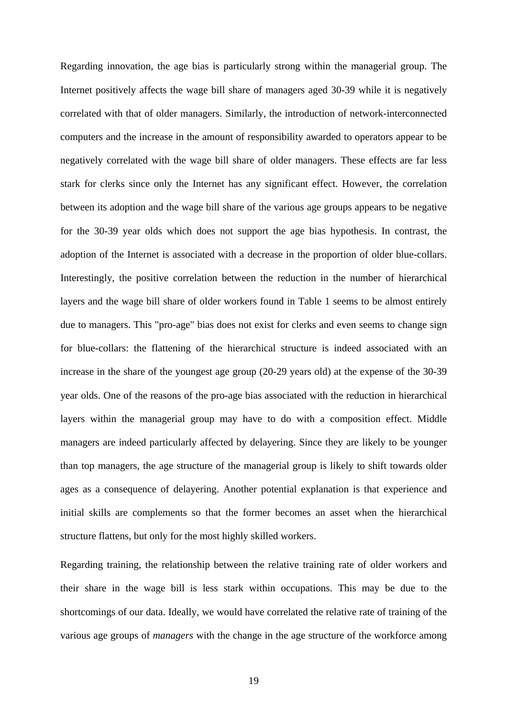Regarding innovation, the age bias is particularly strong within the managerial group. The Internet positively affects the wage bill share of managers aged 30-39 while it is negatively correlated with that of older managers. Similarly, the introduction of network-interconnected computers and the increase in the amount of responsibility awarded to operators appear to be negatively correlated with the wage bill share of older managers. These effects are far less stark for clerks since only the Internet has any significant effect. However, the correlation between its adoption and the wage bill share of the various age groups appears to be negative for the 30-39 year olds which does not support the age bias hypothesis. In contrast, the adoption of the Internet is associated with a decrease in the proportion of older blue-collars. Interestingly, the positive correlation between the reduction in the number of hierarchical layers and the wage bill share of older workers found in Table 1 seems to be almost entirely due to managers. This "pro-age" bias does not exist for clerks and even seems to change sign for blue-collars: the flattening of the hierarchical structure is indeed associated with an increase in the share of the youngest age group (20-29 years old) at the expense of the 30-39 year olds. One of the reasons of the pro-age bias associated with the reduction in hierarchical layers within the managerial group may have to do with a composition effect. Middle managers are indeed particularly affected by delayering. Since they are likely to be younger than top managers, the age structure of the managerial group is likely to shift towards older ages as a consequence of delayering. Another potential explanation is that experience and initial skills are complements so that the former becomes an asset when the hierarchical structure flattens, but only for the most highly skilled workers.

Regarding training, the relationship between the relative training rate of older workers and their share in the wage bill is less stark within occupations. This may be due to the shortcomings of our data. Ideally, we would have correlated the relative rate of training of the various age groups of *managers* with the change in the age structure of the workforce among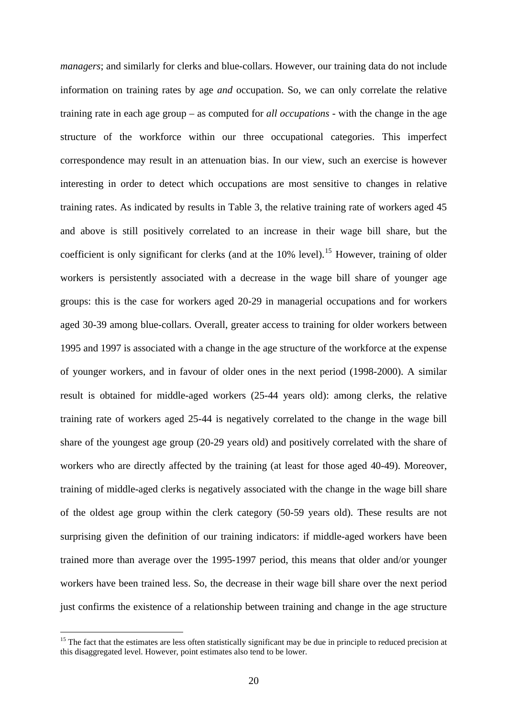*managers*; and similarly for clerks and blue-collars. However, our training data do not include information on training rates by age *and* occupation. So, we can only correlate the relative training rate in each age group – as computed for *all occupations* - with the change in the age structure of the workforce within our three occupational categories. This imperfect correspondence may result in an attenuation bias. In our view, such an exercise is however interesting in order to detect which occupations are most sensitive to changes in relative training rates. As indicated by results in Table 3, the relative training rate of workers aged 45 and above is still positively correlated to an increase in their wage bill share, but the coefficient is only significant for clerks (and at the  $10\%$  level).<sup>[15](#page-21-0)</sup> However, training of older workers is persistently associated with a decrease in the wage bill share of younger age groups: this is the case for workers aged 20-29 in managerial occupations and for workers aged 30-39 among blue-collars. Overall, greater access to training for older workers between 1995 and 1997 is associated with a change in the age structure of the workforce at the expense of younger workers, and in favour of older ones in the next period (1998-2000). A similar result is obtained for middle-aged workers (25-44 years old): among clerks, the relative training rate of workers aged 25-44 is negatively correlated to the change in the wage bill share of the youngest age group (20-29 years old) and positively correlated with the share of workers who are directly affected by the training (at least for those aged 40-49). Moreover, training of middle-aged clerks is negatively associated with the change in the wage bill share of the oldest age group within the clerk category (50-59 years old). These results are not surprising given the definition of our training indicators: if middle-aged workers have been trained more than average over the 1995-1997 period, this means that older and/or younger workers have been trained less. So, the decrease in their wage bill share over the next period just confirms the existence of a relationship between training and change in the age structure

 $\overline{a}$ 

<span id="page-21-0"></span><sup>&</sup>lt;sup>15</sup> The fact that the estimates are less often statistically significant may be due in principle to reduced precision at this disaggregated level. However, point estimates also tend to be lower.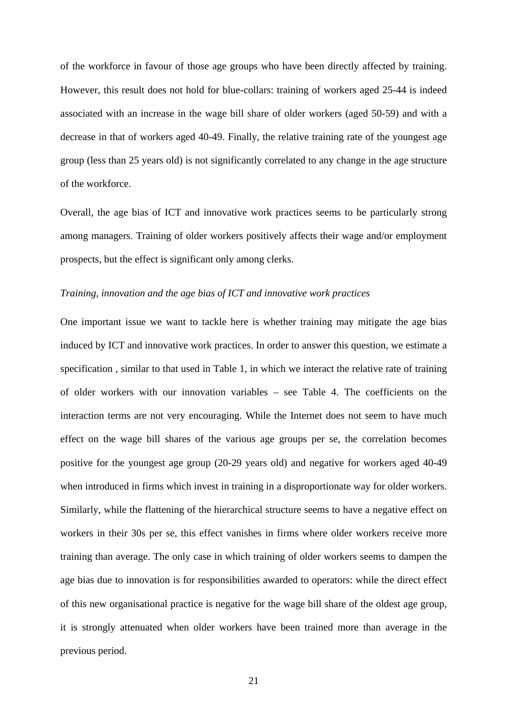of the workforce in favour of those age groups who have been directly affected by training. However, this result does not hold for blue-collars: training of workers aged 25-44 is indeed associated with an increase in the wage bill share of older workers (aged 50-59) and with a decrease in that of workers aged 40-49. Finally, the relative training rate of the youngest age group (less than 25 years old) is not significantly correlated to any change in the age structure of the workforce.

Overall, the age bias of ICT and innovative work practices seems to be particularly strong among managers. Training of older workers positively affects their wage and/or employment prospects, but the effect is significant only among clerks.

#### *Training, innovation and the age bias of ICT and innovative work practices*

One important issue we want to tackle here is whether training may mitigate the age bias induced by ICT and innovative work practices. In order to answer this question, we estimate a specification , similar to that used in Table 1, in which we interact the relative rate of training of older workers with our innovation variables – see Table 4. The coefficients on the interaction terms are not very encouraging. While the Internet does not seem to have much effect on the wage bill shares of the various age groups per se, the correlation becomes positive for the youngest age group (20-29 years old) and negative for workers aged 40-49 when introduced in firms which invest in training in a disproportionate way for older workers. Similarly, while the flattening of the hierarchical structure seems to have a negative effect on workers in their 30s per se, this effect vanishes in firms where older workers receive more training than average. The only case in which training of older workers seems to dampen the age bias due to innovation is for responsibilities awarded to operators: while the direct effect of this new organisational practice is negative for the wage bill share of the oldest age group, it is strongly attenuated when older workers have been trained more than average in the previous period.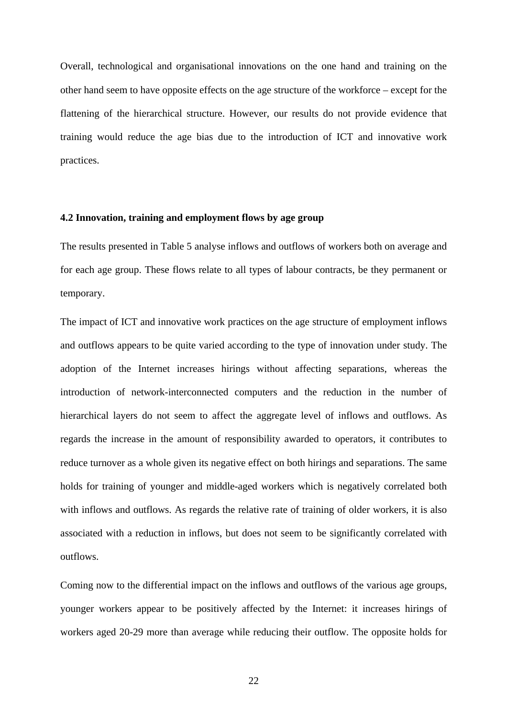Overall, technological and organisational innovations on the one hand and training on the other hand seem to have opposite effects on the age structure of the workforce – except for the flattening of the hierarchical structure. However, our results do not provide evidence that training would reduce the age bias due to the introduction of ICT and innovative work practices.

#### **4.2 Innovation, training and employment flows by age group**

The results presented in Table 5 analyse inflows and outflows of workers both on average and for each age group. These flows relate to all types of labour contracts, be they permanent or temporary.

The impact of ICT and innovative work practices on the age structure of employment inflows and outflows appears to be quite varied according to the type of innovation under study. The adoption of the Internet increases hirings without affecting separations, whereas the introduction of network-interconnected computers and the reduction in the number of hierarchical layers do not seem to affect the aggregate level of inflows and outflows. As regards the increase in the amount of responsibility awarded to operators, it contributes to reduce turnover as a whole given its negative effect on both hirings and separations. The same holds for training of younger and middle-aged workers which is negatively correlated both with inflows and outflows. As regards the relative rate of training of older workers, it is also associated with a reduction in inflows, but does not seem to be significantly correlated with outflows.

Coming now to the differential impact on the inflows and outflows of the various age groups, younger workers appear to be positively affected by the Internet: it increases hirings of workers aged 20-29 more than average while reducing their outflow. The opposite holds for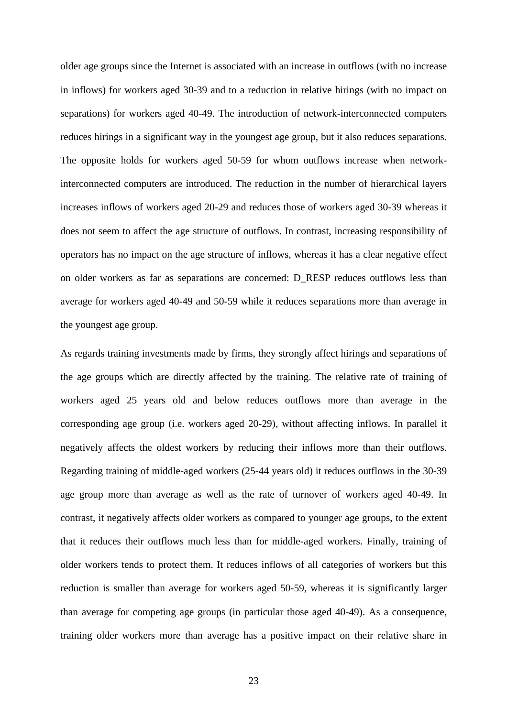older age groups since the Internet is associated with an increase in outflows (with no increase in inflows) for workers aged 30-39 and to a reduction in relative hirings (with no impact on separations) for workers aged 40-49. The introduction of network-interconnected computers reduces hirings in a significant way in the youngest age group, but it also reduces separations. The opposite holds for workers aged 50-59 for whom outflows increase when networkinterconnected computers are introduced. The reduction in the number of hierarchical layers increases inflows of workers aged 20-29 and reduces those of workers aged 30-39 whereas it does not seem to affect the age structure of outflows. In contrast, increasing responsibility of operators has no impact on the age structure of inflows, whereas it has a clear negative effect on older workers as far as separations are concerned: D\_RESP reduces outflows less than average for workers aged 40-49 and 50-59 while it reduces separations more than average in the youngest age group.

As regards training investments made by firms, they strongly affect hirings and separations of the age groups which are directly affected by the training. The relative rate of training of workers aged 25 years old and below reduces outflows more than average in the corresponding age group (i.e. workers aged 20-29), without affecting inflows. In parallel it negatively affects the oldest workers by reducing their inflows more than their outflows. Regarding training of middle-aged workers (25-44 years old) it reduces outflows in the 30-39 age group more than average as well as the rate of turnover of workers aged 40-49. In contrast, it negatively affects older workers as compared to younger age groups, to the extent that it reduces their outflows much less than for middle-aged workers. Finally, training of older workers tends to protect them. It reduces inflows of all categories of workers but this reduction is smaller than average for workers aged 50-59, whereas it is significantly larger than average for competing age groups (in particular those aged 40-49). As a consequence, training older workers more than average has a positive impact on their relative share in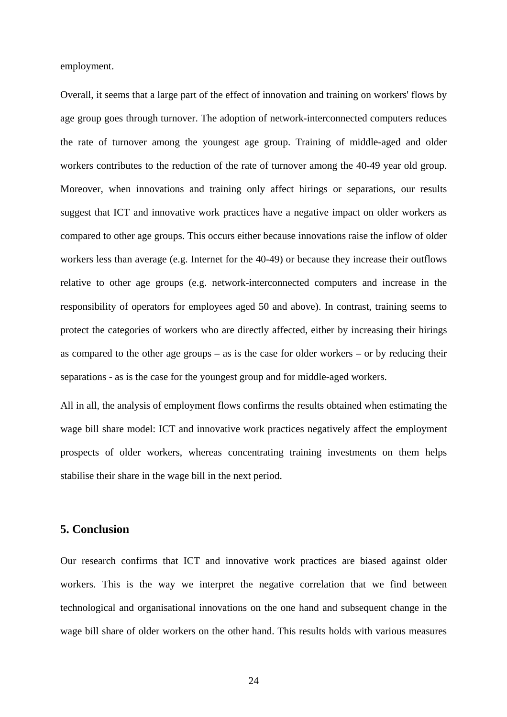employment.

Overall, it seems that a large part of the effect of innovation and training on workers' flows by age group goes through turnover. The adoption of network-interconnected computers reduces the rate of turnover among the youngest age group. Training of middle-aged and older workers contributes to the reduction of the rate of turnover among the 40-49 year old group. Moreover, when innovations and training only affect hirings or separations, our results suggest that ICT and innovative work practices have a negative impact on older workers as compared to other age groups. This occurs either because innovations raise the inflow of older workers less than average (e.g. Internet for the 40-49) or because they increase their outflows relative to other age groups (e.g. network-interconnected computers and increase in the responsibility of operators for employees aged 50 and above). In contrast, training seems to protect the categories of workers who are directly affected, either by increasing their hirings as compared to the other age groups – as is the case for older workers – or by reducing their separations - as is the case for the youngest group and for middle-aged workers.

All in all, the analysis of employment flows confirms the results obtained when estimating the wage bill share model: ICT and innovative work practices negatively affect the employment prospects of older workers, whereas concentrating training investments on them helps stabilise their share in the wage bill in the next period.

## **5. Conclusion**

Our research confirms that ICT and innovative work practices are biased against older workers. This is the way we interpret the negative correlation that we find between technological and organisational innovations on the one hand and subsequent change in the wage bill share of older workers on the other hand. This results holds with various measures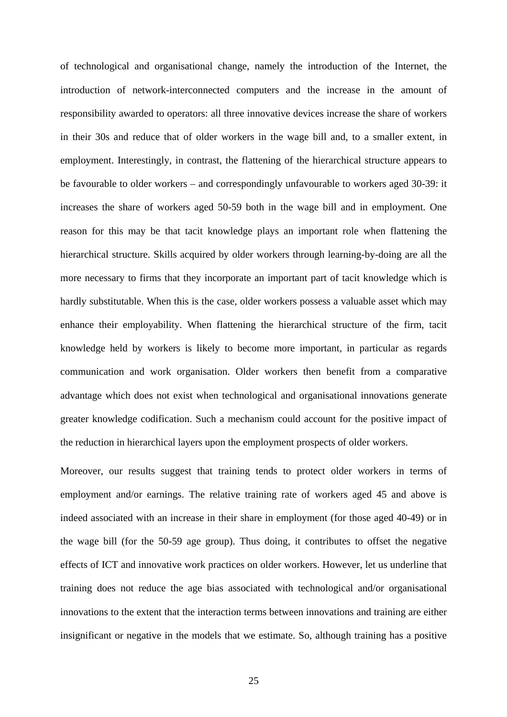of technological and organisational change, namely the introduction of the Internet, the introduction of network-interconnected computers and the increase in the amount of responsibility awarded to operators: all three innovative devices increase the share of workers in their 30s and reduce that of older workers in the wage bill and, to a smaller extent, in employment. Interestingly, in contrast, the flattening of the hierarchical structure appears to be favourable to older workers – and correspondingly unfavourable to workers aged 30-39: it increases the share of workers aged 50-59 both in the wage bill and in employment. One reason for this may be that tacit knowledge plays an important role when flattening the hierarchical structure. Skills acquired by older workers through learning-by-doing are all the more necessary to firms that they incorporate an important part of tacit knowledge which is hardly substitutable. When this is the case, older workers possess a valuable asset which may enhance their employability. When flattening the hierarchical structure of the firm, tacit knowledge held by workers is likely to become more important, in particular as regards communication and work organisation. Older workers then benefit from a comparative advantage which does not exist when technological and organisational innovations generate greater knowledge codification. Such a mechanism could account for the positive impact of the reduction in hierarchical layers upon the employment prospects of older workers.

Moreover, our results suggest that training tends to protect older workers in terms of employment and/or earnings. The relative training rate of workers aged 45 and above is indeed associated with an increase in their share in employment (for those aged 40-49) or in the wage bill (for the 50-59 age group). Thus doing, it contributes to offset the negative effects of ICT and innovative work practices on older workers. However, let us underline that training does not reduce the age bias associated with technological and/or organisational innovations to the extent that the interaction terms between innovations and training are either insignificant or negative in the models that we estimate. So, although training has a positive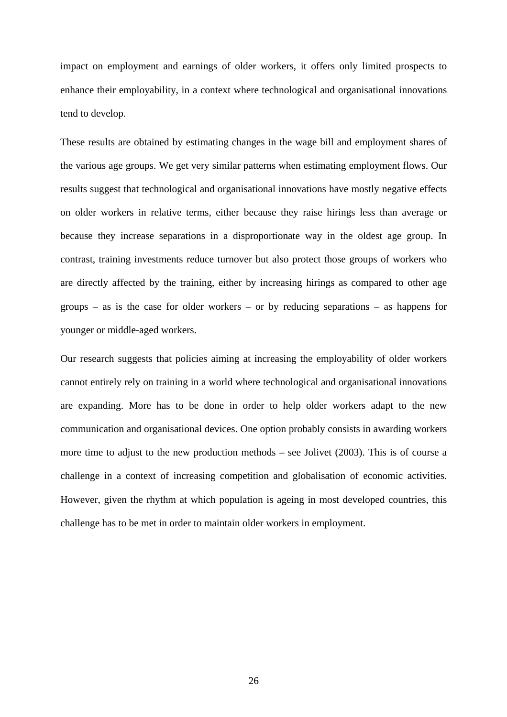impact on employment and earnings of older workers, it offers only limited prospects to enhance their employability, in a context where technological and organisational innovations tend to develop.

These results are obtained by estimating changes in the wage bill and employment shares of the various age groups. We get very similar patterns when estimating employment flows. Our results suggest that technological and organisational innovations have mostly negative effects on older workers in relative terms, either because they raise hirings less than average or because they increase separations in a disproportionate way in the oldest age group. In contrast, training investments reduce turnover but also protect those groups of workers who are directly affected by the training, either by increasing hirings as compared to other age groups – as is the case for older workers – or by reducing separations – as happens for younger or middle-aged workers.

Our research suggests that policies aiming at increasing the employability of older workers cannot entirely rely on training in a world where technological and organisational innovations are expanding. More has to be done in order to help older workers adapt to the new communication and organisational devices. One option probably consists in awarding workers more time to adjust to the new production methods – see Jolivet (2003). This is of course a challenge in a context of increasing competition and globalisation of economic activities. However, given the rhythm at which population is ageing in most developed countries, this challenge has to be met in order to maintain older workers in employment.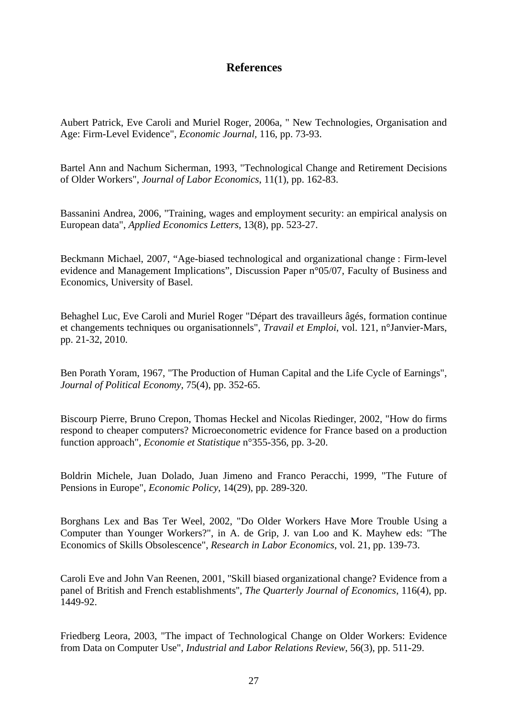## **References**

Aubert Patrick, Eve Caroli and Muriel Roger, 2006a, " New Technologies, Organisation and Age: Firm-Level Evidence", *Economic Journal,* 116, pp. 73-93.

Bartel Ann and Nachum Sicherman, 1993, "Technological Change and Retirement Decisions of Older Workers", *Journal of Labor Economics*, 11(1), pp. 162-83.

Bassanini Andrea, 2006, "Training, wages and employment security: an empirical analysis on European data", *Applied Economics Letters*, 13(8), pp. 523-27.

Beckmann Michael, 2007, "Age-biased technological and organizational change : Firm-level evidence and Management Implications", Discussion Paper n°05/07, Faculty of Business and Economics, University of Basel.

Behaghel Luc, Eve Caroli and Muriel Roger "Départ des travailleurs âgés, formation continue et changements techniques ou organisationnels", *Travail et Emploi*, vol. 121, n°Janvier-Mars, pp. 21-32, 2010.

Ben Porath Yoram, 1967, "The Production of Human Capital and the Life Cycle of Earnings", *Journal of Political Economy*, 75(4), pp. 352-65.

Biscourp Pierre, Bruno Crepon, Thomas Heckel and Nicolas Riedinger, 2002, "How do firms respond to cheaper computers? Microeconometric evidence for France based on a production function approach", *Economie et Statistique* n°355-356, pp. 3-20.

Boldrin Michele, Juan Dolado, Juan Jimeno and Franco Peracchi, 1999, "The Future of Pensions in Europe", *Economic Policy*, 14(29), pp. 289-320.

Borghans Lex and Bas Ter Weel, 2002, "Do Older Workers Have More Trouble Using a Computer than Younger Workers?", in A. de Grip, J. van Loo and K. Mayhew eds: "The Economics of Skills Obsolescence", *Research in Labor Economics*, vol. 21, pp. 139-73.

Caroli Eve and John Van Reenen, 2001, ''Skill biased organizational change? Evidence from a panel of British and French establishments'', *The Quarterly Journal of Economics*, 116(4), pp. 1449-92.

Friedberg Leora, 2003, "The impact of Technological Change on Older Workers: Evidence from Data on Computer Use", *Industrial and Labor Relations Review*, 56(3), pp. 511-29.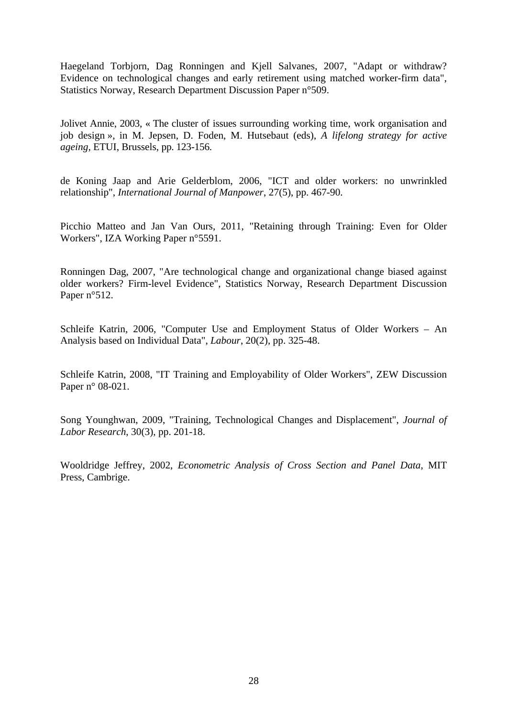Haegeland Torbjorn, Dag Ronningen and Kjell Salvanes, 2007, "Adapt or withdraw? Evidence on technological changes and early retirement using matched worker-firm data", Statistics Norway, Research Department Discussion Paper n°509.

Jolivet Annie, 2003, « The cluster of issues surrounding working time, work organisation and job design », in M. Jepsen, D. Foden, M. Hutsebaut (eds), *A lifelong strategy for active ageing,* ETUI, Brussels, pp. 123-156.

de Koning Jaap and Arie Gelderblom, 2006, "ICT and older workers: no unwrinkled relationship", *International Journal of Manpower*, 27(5), pp. 467-90.

Picchio Matteo and Jan Van Ours, 2011, "Retaining through Training: Even for Older Workers", IZA Working Paper n°5591.

Ronningen Dag, 2007, "Are technological change and organizational change biased against older workers? Firm-level Evidence", Statistics Norway, Research Department Discussion Paper n°512.

Schleife Katrin, 2006, "Computer Use and Employment Status of Older Workers – An Analysis based on Individual Data", *Labour*, 20(2), pp. 325-48.

Schleife Katrin, 2008, "IT Training and Employability of Older Workers", ZEW Discussion Paper n° 08-021.

Song Younghwan, 2009, "Training, Technological Changes and Displacement", *Journal of Labor Research*, 30(3), pp. 201-18.

Wooldridge Jeffrey, 2002, *Econometric Analysis of Cross Section and Panel Data*, MIT Press, Cambrige.